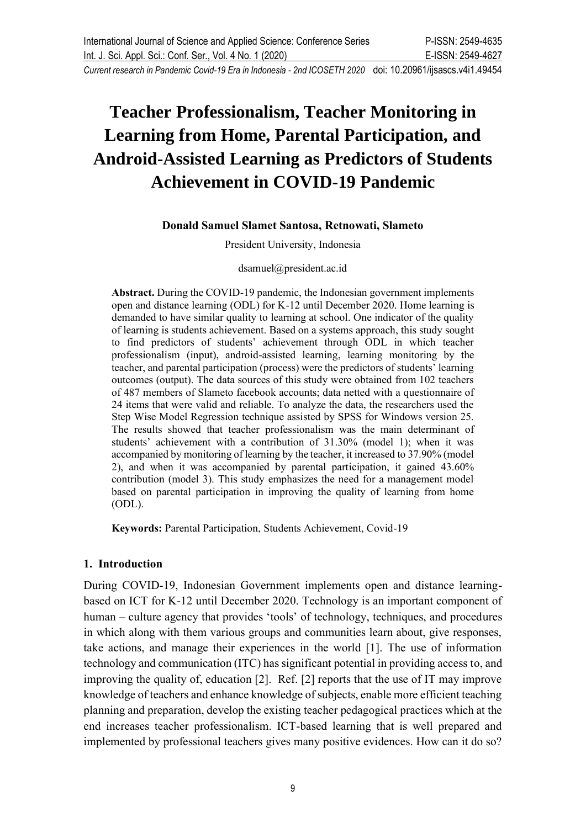# **Teacher Professionalism, Teacher Monitoring in Learning from Home, Parental Participation, and Android-Assisted Learning as Predictors of Students Achievement in COVID-19 Pandemic**

#### **Donald Samuel Slamet Santosa, Retnowati, Slameto**

President University, Indonesia

dsamuel@president.ac.id

**Abstract.** During the COVID-19 pandemic, the Indonesian government implements open and distance learning (ODL) for K-12 until December 2020. Home learning is demanded to have similar quality to learning at school. One indicator of the quality of learning is students achievement. Based on a systems approach, this study sought to find predictors of students' achievement through ODL in which teacher professionalism (input), android-assisted learning, learning monitoring by the teacher, and parental participation (process) were the predictors of students' learning outcomes (output). The data sources of this study were obtained from 102 teachers of 487 members of Slameto facebook accounts; data netted with a questionnaire of 24 items that were valid and reliable. To analyze the data, the researchers used the Step Wise Model Regression technique assisted by SPSS for Windows version 25. The results showed that teacher professionalism was the main determinant of students' achievement with a contribution of 31.30% (model 1); when it was accompanied by monitoring of learning by the teacher, it increased to 37.90% (model 2), and when it was accompanied by parental participation, it gained 43.60% contribution (model 3). This study emphasizes the need for a management model based on parental participation in improving the quality of learning from home (ODL).

**Keywords:** Parental Participation, Students Achievement, Covid-19

#### **1. Introduction**

During COVID-19, Indonesian Government implements open and distance learningbased on ICT for K-12 until December 2020. Technology is an important component of human – culture agency that provides 'tools' of technology, techniques, and procedures in which along with them various groups and communities learn about, give responses, take actions, and manage their experiences in the world [1]. The use of information technology and communication (ITC) has significant potential in providing access to, and improving the quality of, education [2]. Ref. [2] reports that the use of IT may improve knowledge of teachers and enhance knowledge of subjects, enable more efficient teaching planning and preparation, develop the existing teacher pedagogical practices which at the end increases teacher professionalism. ICT-based learning that is well prepared and implemented by professional teachers gives many positive evidences. How can it do so?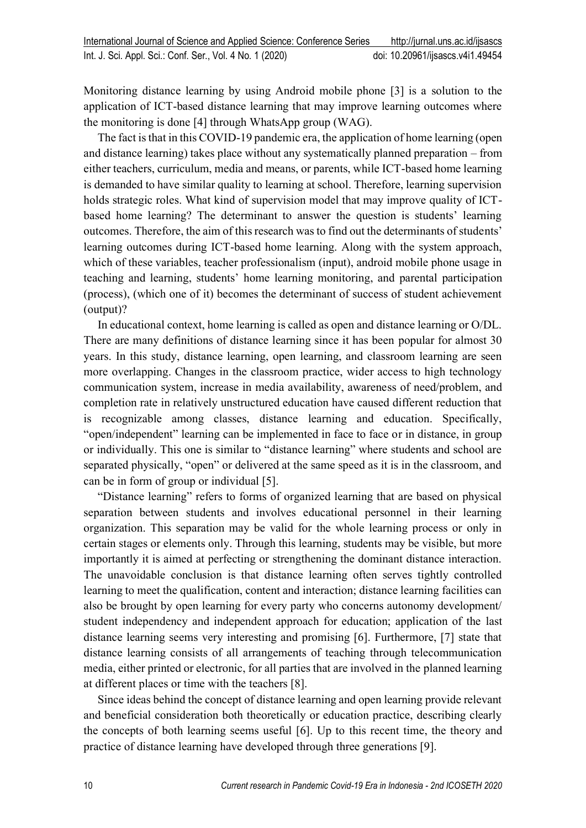Monitoring distance learning by using Android mobile phone [3] is a solution to the application of ICT-based distance learning that may improve learning outcomes where the monitoring is done [4] through WhatsApp group (WAG).

The fact is that in this COVID-19 pandemic era, the application of home learning (open and distance learning) takes place without any systematically planned preparation – from either teachers, curriculum, media and means, or parents, while ICT-based home learning is demanded to have similar quality to learning at school. Therefore, learning supervision holds strategic roles. What kind of supervision model that may improve quality of ICTbased home learning? The determinant to answer the question is students' learning outcomes. Therefore, the aim of this research was to find out the determinants of students' learning outcomes during ICT-based home learning. Along with the system approach, which of these variables, teacher professionalism (input), android mobile phone usage in teaching and learning, students' home learning monitoring, and parental participation (process), (which one of it) becomes the determinant of success of student achievement (output)?

In educational context, home learning is called as open and distance learning or O/DL. There are many definitions of distance learning since it has been popular for almost 30 years. In this study, distance learning, open learning, and classroom learning are seen more overlapping. Changes in the classroom practice, wider access to high technology communication system, increase in media availability, awareness of need/problem, and completion rate in relatively unstructured education have caused different reduction that is recognizable among classes, distance learning and education. Specifically, "open/independent" learning can be implemented in face to face or in distance, in group or individually. This one is similar to "distance learning" where students and school are separated physically, "open" or delivered at the same speed as it is in the classroom, and can be in form of group or individual [5].

"Distance learning" refers to forms of organized learning that are based on physical separation between students and involves educational personnel in their learning organization. This separation may be valid for the whole learning process or only in certain stages or elements only. Through this learning, students may be visible, but more importantly it is aimed at perfecting or strengthening the dominant distance interaction. The unavoidable conclusion is that distance learning often serves tightly controlled learning to meet the qualification, content and interaction; distance learning facilities can also be brought by open learning for every party who concerns autonomy development/ student independency and independent approach for education; application of the last distance learning seems very interesting and promising [6]. Furthermore, [7] state that distance learning consists of all arrangements of teaching through telecommunication media, either printed or electronic, for all parties that are involved in the planned learning at different places or time with the teachers [8].

Since ideas behind the concept of distance learning and open learning provide relevant and beneficial consideration both theoretically or education practice, describing clearly the concepts of both learning seems useful [6]. Up to this recent time, the theory and practice of distance learning have developed through three generations [9].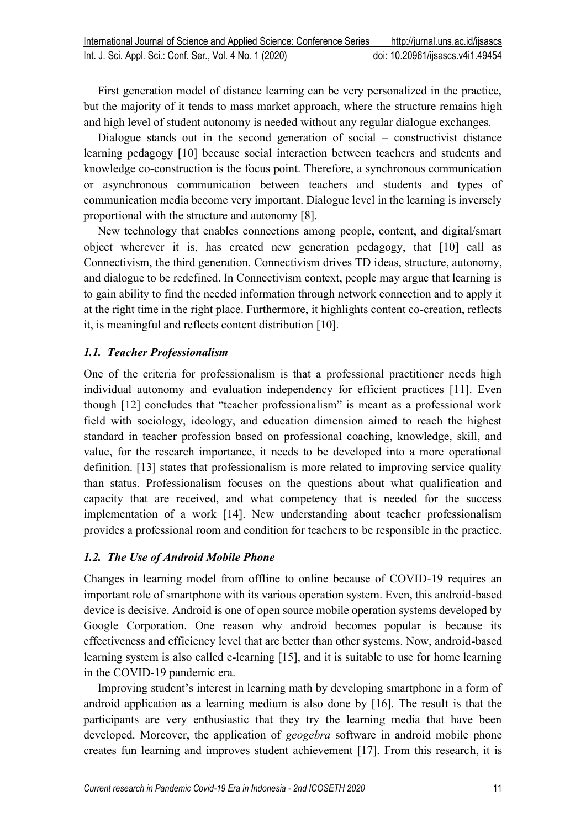First generation model of distance learning can be very personalized in the practice, but the majority of it tends to mass market approach, where the structure remains high and high level of student autonomy is needed without any regular dialogue exchanges.

Dialogue stands out in the second generation of social – constructivist distance learning pedagogy [10] because social interaction between teachers and students and knowledge co-construction is the focus point. Therefore, a synchronous communication or asynchronous communication between teachers and students and types of communication media become very important. Dialogue level in the learning is inversely proportional with the structure and autonomy [8].

New technology that enables connections among people, content, and digital/smart object wherever it is, has created new generation pedagogy, that [10] call as Connectivism, the third generation. Connectivism drives TD ideas, structure, autonomy, and dialogue to be redefined. In Connectivism context, people may argue that learning is to gain ability to find the needed information through network connection and to apply it at the right time in the right place. Furthermore, it highlights content co-creation, reflects it, is meaningful and reflects content distribution [10].

## *1.1. Teacher Professionalism*

One of the criteria for professionalism is that a professional practitioner needs high individual autonomy and evaluation independency for efficient practices [11]. Even though [12] concludes that "teacher professionalism" is meant as a professional work field with sociology, ideology, and education dimension aimed to reach the highest standard in teacher profession based on professional coaching, knowledge, skill, and value, for the research importance, it needs to be developed into a more operational definition. [13] states that professionalism is more related to improving service quality than status. Professionalism focuses on the questions about what qualification and capacity that are received, and what competency that is needed for the success implementation of a work [14]. New understanding about teacher professionalism provides a professional room and condition for teachers to be responsible in the practice.

# *1.2. The Use of Android Mobile Phone*

Changes in learning model from offline to online because of COVID-19 requires an important role of smartphone with its various operation system. Even, this android-based device is decisive. Android is one of open source mobile operation systems developed by Google Corporation. One reason why android becomes popular is because its effectiveness and efficiency level that are better than other systems. Now, android-based learning system is also called e-learning [15], and it is suitable to use for home learning in the COVID-19 pandemic era.

Improving student's interest in learning math by developing smartphone in a form of android application as a learning medium is also done by [16]. The result is that the participants are very enthusiastic that they try the learning media that have been developed. Moreover, the application of *geogebra* software in android mobile phone creates fun learning and improves student achievement [17]. From this research, it is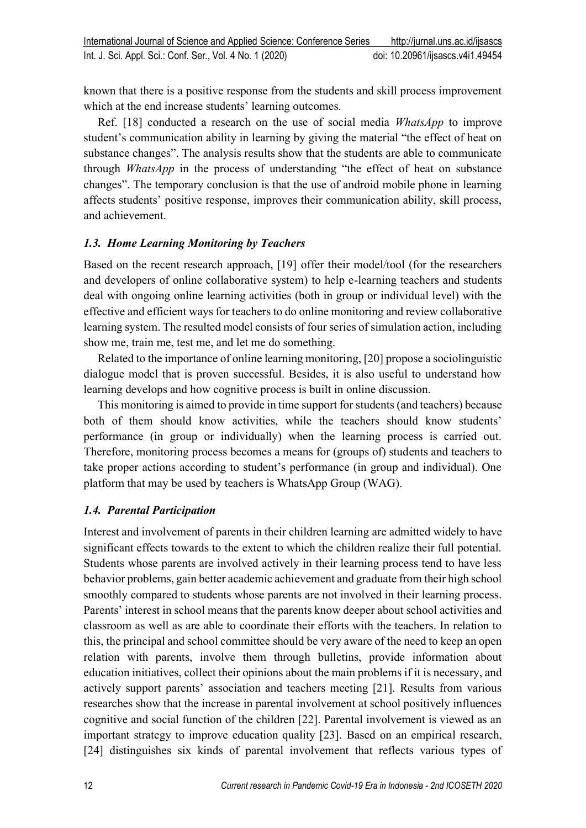known that there is a positive response from the students and skill process improvement which at the end increase students' learning outcomes.

Ref. [18] conducted a research on the use of social media *WhatsApp* to improve student's communication ability in learning by giving the material "the effect of heat on substance changes". The analysis results show that the students are able to communicate through *WhatsApp* in the process of understanding "the effect of heat on substance changes". The temporary conclusion is that the use of android mobile phone in learning affects students' positive response, improves their communication ability, skill process, and achievement.

## *1.3. Home Learning Monitoring by Teachers*

Based on the recent research approach, [19] offer their model/tool (for the researchers and developers of online collaborative system) to help e-learning teachers and students deal with ongoing online learning activities (both in group or individual level) with the effective and efficient ways for teachers to do online monitoring and review collaborative learning system. The resulted model consists of four series of simulation action, including show me, train me, test me, and let me do something.

Related to the importance of online learning monitoring, [20] propose a sociolinguistic dialogue model that is proven successful. Besides, it is also useful to understand how learning develops and how cognitive process is built in online discussion.

This monitoring is aimed to provide in time support for students (and teachers) because both of them should know activities, while the teachers should know students' performance (in group or individually) when the learning process is carried out. Therefore, monitoring process becomes a means for (groups of) students and teachers to take proper actions according to student's performance (in group and individual). One platform that may be used by teachers is WhatsApp Group (WAG).

## *1.4. Parental Participation*

Interest and involvement of parents in their children learning are admitted widely to have significant effects towards to the extent to which the children realize their full potential. Students whose parents are involved actively in their learning process tend to have less behavior problems, gain better academic achievement and graduate from their high school smoothly compared to students whose parents are not involved in their learning process. Parents' interest in school means that the parents know deeper about school activities and classroom as well as are able to coordinate their efforts with the teachers. In relation to this, the principal and school committee should be very aware of the need to keep an open relation with parents, involve them through bulletins, provide information about education initiatives, collect their opinions about the main problems if it is necessary, and actively support parents' association and teachers meeting [21]. Results from various researches show that the increase in parental involvement at school positively influences cognitive and social function of the children [22]. Parental involvement is viewed as an important strategy to improve education quality [23]. Based on an empirical research, [24] distinguishes six kinds of parental involvement that reflects various types of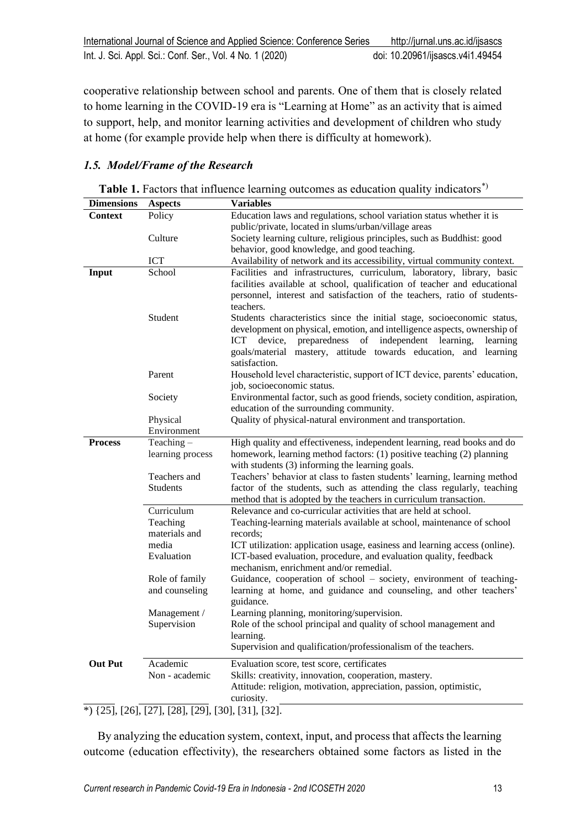cooperative relationship between school and parents. One of them that is closely related to home learning in the COVID-19 era is "Learning at Home" as an activity that is aimed to support, help, and monitor learning activities and development of children who study at home (for example provide help when there is difficulty at homework).

# *1.5. Model/Frame of the Research*

| Table 1. Factors that influence learning outcomes as education quality indicators <sup>*</sup> ) |  |  |
|--------------------------------------------------------------------------------------------------|--|--|
|                                                                                                  |  |  |

| <b>Dimensions</b> | <b>Aspects</b>              | <b>Variables</b>                                                             |
|-------------------|-----------------------------|------------------------------------------------------------------------------|
| <b>Context</b>    | Policy                      | Education laws and regulations, school variation status whether it is        |
|                   |                             | public/private, located in slums/urban/village areas                         |
|                   | Culture                     | Society learning culture, religious principles, such as Buddhist: good       |
|                   |                             | behavior, good knowledge, and good teaching.                                 |
|                   | <b>ICT</b>                  | Availability of network and its accessibility, virtual community context.    |
| Input             | School                      | Facilities and infrastructures, curriculum, laboratory, library, basic       |
|                   |                             | facilities available at school, qualification of teacher and educational     |
|                   |                             | personnel, interest and satisfaction of the teachers, ratio of students-     |
|                   |                             | teachers.                                                                    |
|                   | Student                     | Students characteristics since the initial stage, socioeconomic status,      |
|                   |                             | development on physical, emotion, and intelligence aspects, ownership of     |
|                   |                             | ICT<br>device,<br>preparedness<br>of<br>independent<br>learning,<br>learning |
|                   |                             | goals/material mastery, attitude towards education, and learning             |
|                   |                             | satisfaction.                                                                |
|                   | Parent                      | Household level characteristic, support of ICT device, parents' education,   |
|                   |                             | job, socioeconomic status.                                                   |
|                   | Society                     | Environmental factor, such as good friends, society condition, aspiration,   |
|                   |                             | education of the surrounding community.                                      |
|                   | Physical                    | Quality of physical-natural environment and transportation.                  |
|                   | Environment                 |                                                                              |
| <b>Process</b>    | Teaching $-$                | High quality and effectiveness, independent learning, read books and do      |
|                   | learning process            | homework, learning method factors: (1) positive teaching (2) planning        |
|                   |                             | with students (3) informing the learning goals.                              |
|                   | Teachers and                | Teachers' behavior at class to fasten students' learning, learning method    |
|                   | Students                    | factor of the students, such as attending the class regularly, teaching      |
|                   |                             | method that is adopted by the teachers in curriculum transaction.            |
|                   | Curriculum                  | Relevance and co-curricular activities that are held at school.              |
|                   | Teaching                    | Teaching-learning materials available at school, maintenance of school       |
|                   | materials and               | records;                                                                     |
|                   | media                       | ICT utilization: application usage, easiness and learning access (online).   |
|                   | Evaluation                  | ICT-based evaluation, procedure, and evaluation quality, feedback            |
|                   |                             | mechanism, enrichment and/or remedial.                                       |
|                   | Role of family              | Guidance, cooperation of school - society, environment of teaching-          |
|                   | and counseling              | learning at home, and guidance and counseling, and other teachers'           |
|                   |                             | guidance.                                                                    |
|                   | Management /                | Learning planning, monitoring/supervision.                                   |
|                   | Supervision                 | Role of the school principal and quality of school management and            |
|                   |                             | learning.                                                                    |
|                   |                             | Supervision and qualification/professionalism of the teachers.               |
| <b>Out Put</b>    | Academic                    | Evaluation score, test score, certificates                                   |
|                   | Non - academic              | Skills: creativity, innovation, cooperation, mastery.                        |
|                   |                             | Attitude: religion, motivation, appreciation, passion, optimistic,           |
|                   |                             | curiosity.                                                                   |
|                   | *) 1251 1261 1271 1281 1291 | $[30]$ $[31]$ $[32]$                                                         |

\*) {25], [26], [27], [28], [29], [30], [31], [32].

By analyzing the education system, context, input, and process that affects the learning outcome (education effectivity), the researchers obtained some factors as listed in the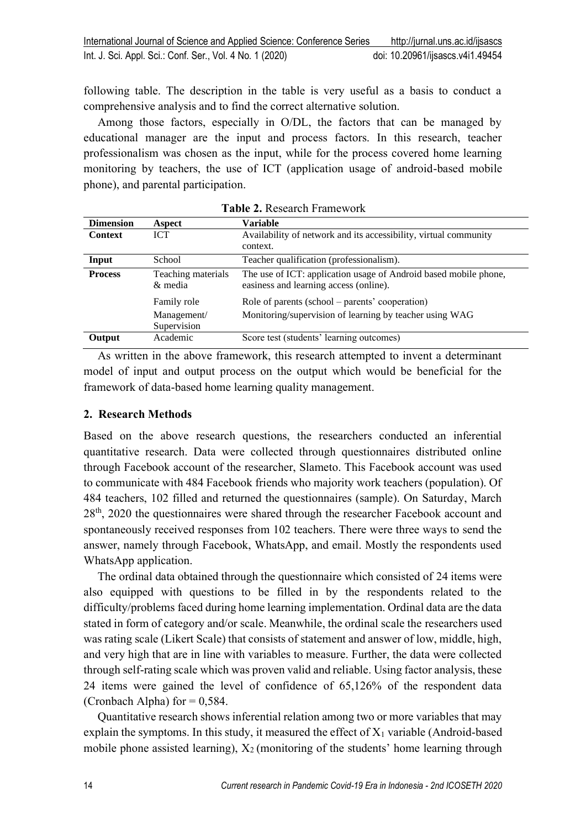following table. The description in the table is very useful as a basis to conduct a comprehensive analysis and to find the correct alternative solution.

Among those factors, especially in O/DL, the factors that can be managed by educational manager are the input and process factors. In this research, teacher professionalism was chosen as the input, while for the process covered home learning monitoring by teachers, the use of ICT (application usage of android-based mobile phone), and parental participation.

| <b>Dimension</b> | Aspect                        | Variable                                                                                                   |
|------------------|-------------------------------|------------------------------------------------------------------------------------------------------------|
| <b>Context</b>   | <b>ICT</b>                    | Availability of network and its accessibility, virtual community                                           |
|                  |                               | context.                                                                                                   |
| Input            | School                        | Teacher qualification (professionalism).                                                                   |
| <b>Process</b>   | Teaching materials<br>& media | The use of ICT: application usage of Android based mobile phone,<br>easiness and learning access (online). |
|                  | Family role                   | Role of parents (school – parents' cooperation)                                                            |
|                  | Management/<br>Supervision    | Monitoring/supervision of learning by teacher using WAG                                                    |
| Output           | Academic                      | Score test (students' learning outcomes)                                                                   |

**Table 2.** Research Framework

As written in the above framework, this research attempted to invent a determinant model of input and output process on the output which would be beneficial for the framework of data-based home learning quality management.

## **2. Research Methods**

Based on the above research questions, the researchers conducted an inferential quantitative research. Data were collected through questionnaires distributed online through Facebook account of the researcher, Slameto. This Facebook account was used to communicate with 484 Facebook friends who majority work teachers (population). Of 484 teachers, 102 filled and returned the questionnaires (sample). On Saturday, March 28<sup>th</sup>, 2020 the questionnaires were shared through the researcher Facebook account and spontaneously received responses from 102 teachers. There were three ways to send the answer, namely through Facebook, WhatsApp, and email. Mostly the respondents used WhatsApp application.

The ordinal data obtained through the questionnaire which consisted of 24 items were also equipped with questions to be filled in by the respondents related to the difficulty/problems faced during home learning implementation. Ordinal data are the data stated in form of category and/or scale. Meanwhile, the ordinal scale the researchers used was rating scale (Likert Scale) that consists of statement and answer of low, middle, high, and very high that are in line with variables to measure. Further, the data were collected through self-rating scale which was proven valid and reliable. Using factor analysis, these 24 items were gained the level of confidence of 65,126% of the respondent data (Cronbach Alpha) for  $= 0.584$ .

Quantitative research shows inferential relation among two or more variables that may explain the symptoms. In this study, it measured the effect of  $X_1$  variable (Android-based mobile phone assisted learning),  $X_2$  (monitoring of the students' home learning through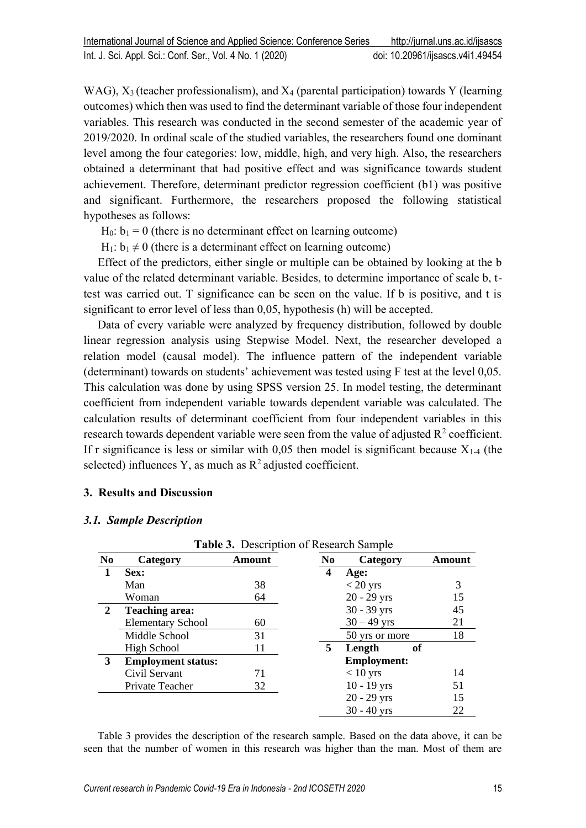WAG),  $X_3$  (teacher professionalism), and  $X_4$  (parental participation) towards Y (learning outcomes) which then was used to find the determinant variable of those four independent variables. This research was conducted in the second semester of the academic year of 2019/2020. In ordinal scale of the studied variables, the researchers found one dominant level among the four categories: low, middle, high, and very high. Also, the researchers obtained a determinant that had positive effect and was significance towards student achievement. Therefore, determinant predictor regression coefficient (b1) was positive and significant. Furthermore, the researchers proposed the following statistical hypotheses as follows:

 $H_0$ :  $b_1 = 0$  (there is no determinant effect on learning outcome)

 $H_1: b_1 \neq 0$  (there is a determinant effect on learning outcome)

Effect of the predictors, either single or multiple can be obtained by looking at the b value of the related determinant variable. Besides, to determine importance of scale b, ttest was carried out. T significance can be seen on the value. If b is positive, and t is significant to error level of less than 0,05, hypothesis (h) will be accepted.

Data of every variable were analyzed by frequency distribution, followed by double linear regression analysis using Stepwise Model. Next, the researcher developed a relation model (causal model). The influence pattern of the independent variable (determinant) towards on students' achievement was tested using F test at the level 0,05. This calculation was done by using SPSS version 25. In model testing, the determinant coefficient from independent variable towards dependent variable was calculated. The calculation results of determinant coefficient from four independent variables in this research towards dependent variable were seen from the value of adjusted  $R^2$  coefficient. If r significance is less or similar with 0,05 then model is significant because  $X_{1-4}$  (the selected) influences Y, as much as  $R^2$  adjusted coefficient.

## **3. Results and Discussion**

#### *3.1. Sample Description*

| N <sub>0</sub> | Category                  | Amount | N <sub>0</sub> | Category           | Amount |
|----------------|---------------------------|--------|----------------|--------------------|--------|
| 1              | Sex:                      |        | 4              | Age:               |        |
|                | Man                       | 38     |                | $<$ 20 yrs         | 3      |
|                | Woman                     | 64     |                | $20 - 29$ yrs      | 15     |
| $\overline{2}$ | <b>Teaching area:</b>     |        |                | 30 - 39 yrs        | 45     |
|                | <b>Elementary School</b>  | 60     |                | $30 - 49$ yrs      | 21     |
|                | Middle School             | 31     |                | 50 yrs or more     | 18     |
|                | <b>High School</b>        | 11     | 5.             | оf<br>Length       |        |
| 3              | <b>Employment status:</b> |        |                | <b>Employment:</b> |        |
|                | Civil Servant             | 71     |                | $< 10$ yrs         | 14     |
|                | Private Teacher           | 32     |                | $10 - 19$ yrs      | 51     |
|                |                           |        |                | $20 - 29$ yrs      | 15     |
|                |                           |        |                | $30 - 40$ yrs      | 22     |

## **Table 3.** Description of Research Sample

Table 3 provides the description of the research sample. Based on the data above, it can be seen that the number of women in this research was higher than the man. Most of them are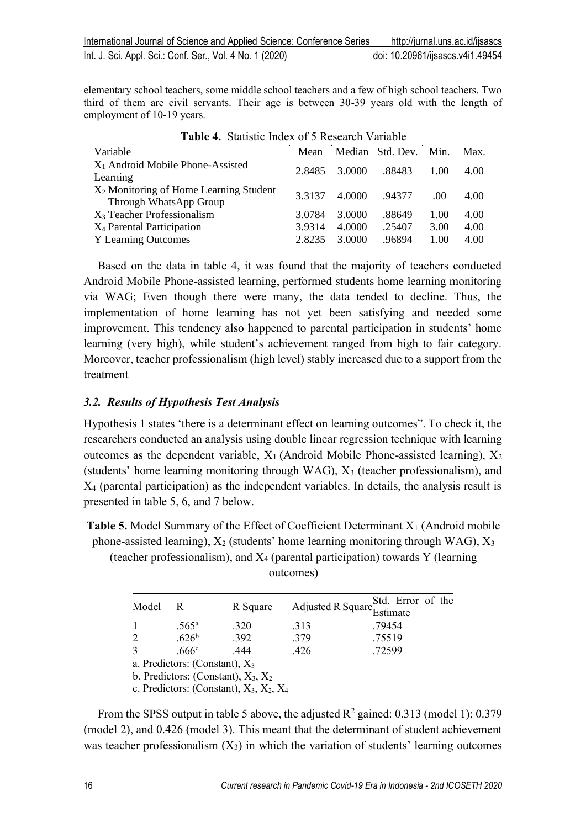elementary school teachers, some middle school teachers and a few of high school teachers. Two third of them are civil servants. Their age is between 30-39 years old with the length of employment of 10-19 years.

| Variable                                           | Mean   |        | Median Std. Dev. | Min. | Max. |
|----------------------------------------------------|--------|--------|------------------|------|------|
| $X_1$ Android Mobile Phone-Assisted                | 2.8485 | 3.0000 | .88483           | 1.00 | 4.00 |
| Learning                                           |        |        |                  |      |      |
| X <sub>2</sub> Monitoring of Home Learning Student | 3.3137 | 4.0000 | .94377           | .00. | 4.00 |
| Through WhatsApp Group                             |        |        |                  |      |      |
| $X_3$ Teacher Professionalism                      | 3.0784 | 3.0000 | .88649           | 1.00 | 4.00 |
| X <sub>4</sub> Parental Participation              | 3.9314 | 4.0000 | .25407           | 3.00 | 4.00 |
| <b>Y</b> Learning Outcomes                         | 2.8235 | 3.0000 | .96894           | 1.00 | 4.00 |

|  |  |  |  | Table 4. Statistic Index of 5 Research Variable |  |
|--|--|--|--|-------------------------------------------------|--|
|--|--|--|--|-------------------------------------------------|--|

Based on the data in table 4, it was found that the majority of teachers conducted Android Mobile Phone-assisted learning, performed students home learning monitoring via WAG; Even though there were many, the data tended to decline. Thus, the implementation of home learning has not yet been satisfying and needed some improvement. This tendency also happened to parental participation in students' home learning (very high), while student's achievement ranged from high to fair category. Moreover, teacher professionalism (high level) stably increased due to a support from the treatment

# *3.2. Results of Hypothesis Test Analysis*

Hypothesis 1 states 'there is a determinant effect on learning outcomes". To check it, the researchers conducted an analysis using double linear regression technique with learning outcomes as the dependent variable,  $X_1$  (Android Mobile Phone-assisted learning),  $X_2$ (students' home learning monitoring through WAG),  $X_3$  (teacher professionalism), and X<sup>4</sup> (parental participation) as the independent variables. In details, the analysis result is presented in table 5, 6, and 7 below.

**Table 5.** Model Summary of the Effect of Coefficient Determinant X<sub>1</sub> (Android mobile phone-assisted learning),  $X_2$  (students' home learning monitoring through WAG),  $X_3$ 

(teacher professionalism), and  $X_4$  (parental participation) towards Y (learning outcomes)

| Model          |                   | R Square |      | Adjusted R Square <sup>Std.</sup> Error of the<br>Estimate |
|----------------|-------------------|----------|------|------------------------------------------------------------|
|                | $.565^{\circ}$    | .320     | .313 | .79454                                                     |
| $\overline{2}$ | .626 <sup>b</sup> | .392     | .379 | .75519                                                     |
| 3              | .666 $^{\circ}$   | .444     | 426  | 72599                                                      |
|                |                   |          |      |                                                            |

a. Predictors: (Constant),  $X_3$ 

b. Predictors: (Constant),  $X_3$ ,  $X_2$ 

c. Predictors: (Constant),  $X_3$ ,  $X_2$ ,  $X_4$ 

From the SPSS output in table 5 above, the adjusted  $R^2$  gained: 0.313 (model 1); 0.379 (model 2), and 0.426 (model 3). This meant that the determinant of student achievement was teacher professionalism  $(X_3)$  in which the variation of students' learning outcomes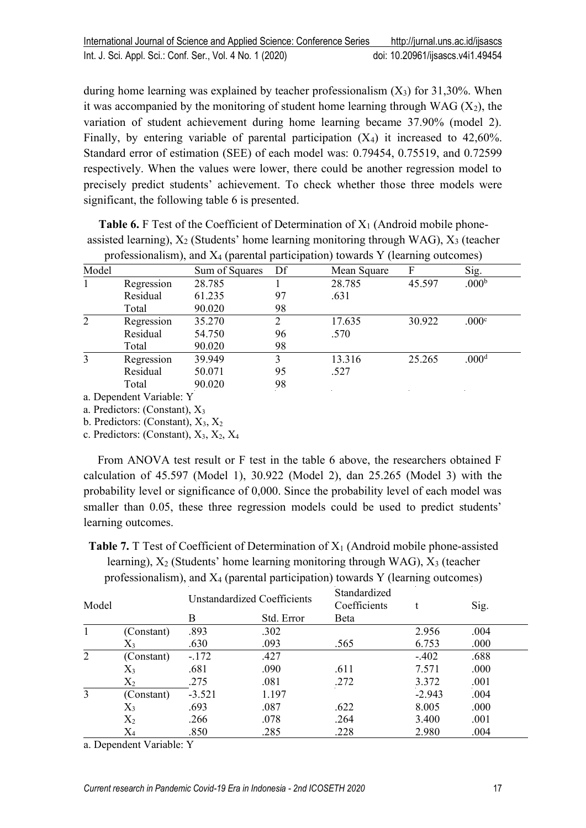during home learning was explained by teacher professionalism  $(X_3)$  for 31,30%. When it was accompanied by the monitoring of student home learning through  $WAG (X<sub>2</sub>)$ , the variation of student achievement during home learning became 37.90% (model 2). Finally, by entering variable of parental participation  $(X_4)$  it increased to 42,60%. Standard error of estimation (SEE) of each model was: 0.79454, 0.75519, and 0.72599 respectively. When the values were lower, there could be another regression model to precisely predict students' achievement. To check whether those three models were significant, the following table 6 is presented.

**Table 6.** F Test of the Coefficient of Determination of  $X_1$  (Android mobile phoneassisted learning),  $X_2$  (Students' home learning monitoring through WAG),  $X_3$  (teacher professionalism), and  $X_4$  (parental participation) towards Y (learning outcomes)

| Model |            | Sum of Squares | Df | Mean Square | F      | Sig.              |
|-------|------------|----------------|----|-------------|--------|-------------------|
|       | Regression | 28.785         |    | 28.785      | 45.597 | .000 <sup>b</sup> |
|       | Residual   | 61.235         | 97 | .631        |        |                   |
|       | Total      | 90.020         | 98 |             |        |                   |
| 2     | Regression | 35.270         |    | 17.635      | 30.922 | .000c             |
|       | Residual   | 54.750         | 96 | .570        |        |                   |
|       | Total      | 90.020         | 98 |             |        |                   |
| 3     | Regression | 39.949         | 3  | 13.316      | 25.265 | .000 <sup>d</sup> |
|       | Residual   | 50.071         | 95 | .527        |        |                   |
|       | Total      | 90.020         | 98 |             |        |                   |

a. Dependent Variable: Y

a. Predictors: (Constant), X<sup>3</sup>

b. Predictors: (Constant),  $X_3$ ,  $X_2$ 

c. Predictors: (Constant),  $X_3$ ,  $X_2$ ,  $X_4$ 

From ANOVA test result or F test in the table 6 above, the researchers obtained F calculation of 45.597 (Model 1), 30.922 (Model 2), dan 25.265 (Model 3) with the probability level or significance of 0,000. Since the probability level of each model was smaller than 0.05, these three regression models could be used to predict students' learning outcomes.

**Table 7.** T Test of Coefficient of Determination of X<sub>1</sub> (Android mobile phone-assisted learning),  $X_2$  (Students' home learning monitoring through WAG),  $X_3$  (teacher professionalism), and X<sup>4</sup> (parental participation) towards Y (learning outcomes)

| Model |            | Unstandardized Coefficients |            | Standardized<br>Coefficients |          | Sig. |  |
|-------|------------|-----------------------------|------------|------------------------------|----------|------|--|
|       |            | B                           | Std. Error | <b>B</b> eta                 |          |      |  |
|       | (Constant) | .893                        | .302       |                              | 2.956    | .004 |  |
|       | $X_3$      | .630                        | .093       | .565                         | 6.753    | .000 |  |
| 2     | (Constant) | $-172$                      | .427       |                              | $-.402$  | .688 |  |
|       | $X_3$      | .681                        | .090       | .611                         | 7.571    | .000 |  |
|       | $\rm X_2$  | .275                        | .081       | .272                         | 3.372    | .001 |  |
| 3     | (Constant) | $-3.521$                    | 1.197      |                              | $-2.943$ | .004 |  |
|       | $X_3$      | .693                        | .087       | .622                         | 8.005    | .000 |  |
|       | $\rm X_2$  | .266                        | .078       | .264                         | 3.400    | .001 |  |
|       | $\rm X_4$  | .850                        | .285       | .228                         | 2.980    | .004 |  |

a. Dependent Variable: Y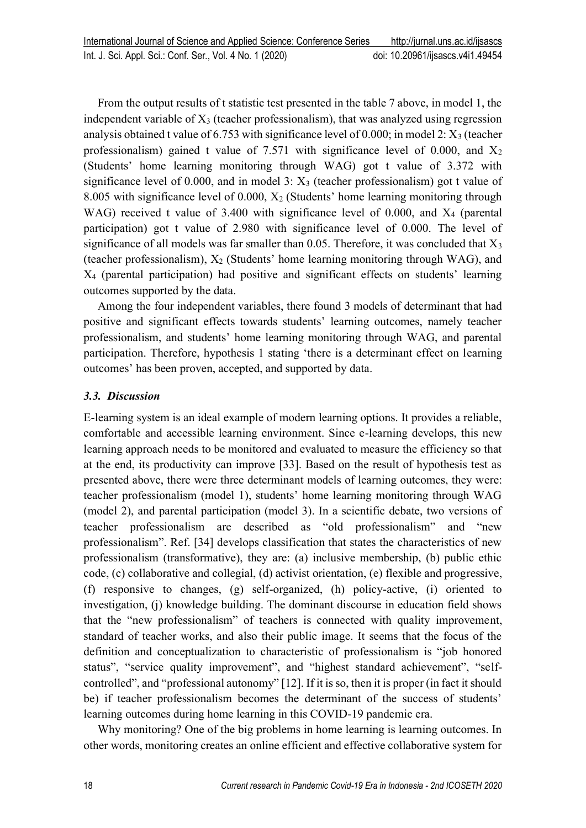From the output results of t statistic test presented in the table 7 above, in model 1, the independent variable of  $X_3$  (teacher professionalism), that was analyzed using regression analysis obtained t value of 6.753 with significance level of 0.000; in model 2:  $X_3$  (teacher professionalism) gained t value of 7.571 with significance level of 0.000, and  $X_2$ (Students' home learning monitoring through WAG) got t value of 3.372 with significance level of 0.000, and in model 3:  $X_3$  (teacher professionalism) got t value of 8.005 with significance level of  $0.000$ ,  $X_2$  (Students' home learning monitoring through WAG) received t value of 3.400 with significance level of 0.000, and  $X_4$  (parental participation) got t value of 2.980 with significance level of 0.000. The level of significance of all models was far smaller than 0.05. Therefore, it was concluded that  $X_3$ (teacher professionalism),  $X_2$  (Students' home learning monitoring through WAG), and X<sup>4</sup> (parental participation) had positive and significant effects on students' learning outcomes supported by the data.

Among the four independent variables, there found 3 models of determinant that had positive and significant effects towards students' learning outcomes, namely teacher professionalism, and students' home learning monitoring through WAG, and parental participation. Therefore, hypothesis 1 stating 'there is a determinant effect on learning outcomes' has been proven, accepted, and supported by data.

## *3.3. Discussion*

E-learning system is an ideal example of modern learning options. It provides a reliable, comfortable and accessible learning environment. Since e-learning develops, this new learning approach needs to be monitored and evaluated to measure the efficiency so that at the end, its productivity can improve [33]. Based on the result of hypothesis test as presented above, there were three determinant models of learning outcomes, they were: teacher professionalism (model 1), students' home learning monitoring through WAG (model 2), and parental participation (model 3). In a scientific debate, two versions of teacher professionalism are described as "old professionalism" and "new professionalism". Ref. [34] develops classification that states the characteristics of new professionalism (transformative), they are: (a) inclusive membership, (b) public ethic code, (c) collaborative and collegial, (d) activist orientation, (e) flexible and progressive, (f) responsive to changes, (g) self-organized, (h) policy-active, (i) oriented to investigation, (j) knowledge building. The dominant discourse in education field shows that the "new professionalism" of teachers is connected with quality improvement, standard of teacher works, and also their public image. It seems that the focus of the definition and conceptualization to characteristic of professionalism is "job honored status", "service quality improvement", and "highest standard achievement", "selfcontrolled", and "professional autonomy" [12]. If it is so, then it is proper (in fact it should be) if teacher professionalism becomes the determinant of the success of students' learning outcomes during home learning in this COVID-19 pandemic era.

Why monitoring? One of the big problems in home learning is learning outcomes. In other words, monitoring creates an online efficient and effective collaborative system for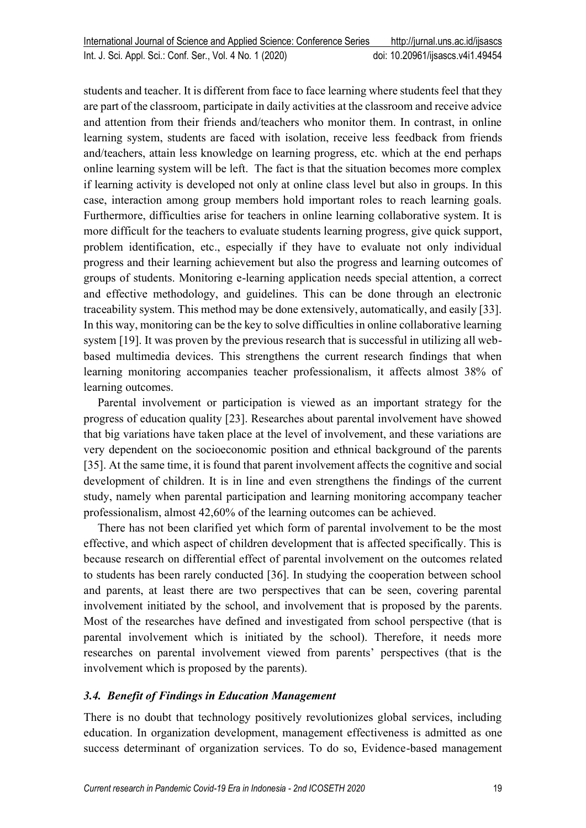students and teacher. It is different from face to face learning where students feel that they are part of the classroom, participate in daily activities at the classroom and receive advice and attention from their friends and/teachers who monitor them. In contrast, in online learning system, students are faced with isolation, receive less feedback from friends and/teachers, attain less knowledge on learning progress, etc. which at the end perhaps online learning system will be left. The fact is that the situation becomes more complex if learning activity is developed not only at online class level but also in groups. In this case, interaction among group members hold important roles to reach learning goals. Furthermore, difficulties arise for teachers in online learning collaborative system. It is more difficult for the teachers to evaluate students learning progress, give quick support, problem identification, etc., especially if they have to evaluate not only individual progress and their learning achievement but also the progress and learning outcomes of groups of students. Monitoring e-learning application needs special attention, a correct and effective methodology, and guidelines. This can be done through an electronic traceability system. This method may be done extensively, automatically, and easily [33]. In this way, monitoring can be the key to solve difficulties in online collaborative learning system [19]. It was proven by the previous research that is successful in utilizing all webbased multimedia devices. This strengthens the current research findings that when learning monitoring accompanies teacher professionalism, it affects almost 38% of learning outcomes.

Parental involvement or participation is viewed as an important strategy for the progress of education quality [23]. Researches about parental involvement have showed that big variations have taken place at the level of involvement, and these variations are very dependent on the socioeconomic position and ethnical background of the parents [35]. At the same time, it is found that parent involvement affects the cognitive and social development of children. It is in line and even strengthens the findings of the current study, namely when parental participation and learning monitoring accompany teacher professionalism, almost 42,60% of the learning outcomes can be achieved.

There has not been clarified yet which form of parental involvement to be the most effective, and which aspect of children development that is affected specifically. This is because research on differential effect of parental involvement on the outcomes related to students has been rarely conducted [36]. In studying the cooperation between school and parents, at least there are two perspectives that can be seen, covering parental involvement initiated by the school, and involvement that is proposed by the parents. Most of the researches have defined and investigated from school perspective (that is parental involvement which is initiated by the school). Therefore, it needs more researches on parental involvement viewed from parents' perspectives (that is the involvement which is proposed by the parents).

## *3.4. Benefit of Findings in Education Management*

There is no doubt that technology positively revolutionizes global services, including education. In organization development, management effectiveness is admitted as one success determinant of organization services. To do so, Evidence-based management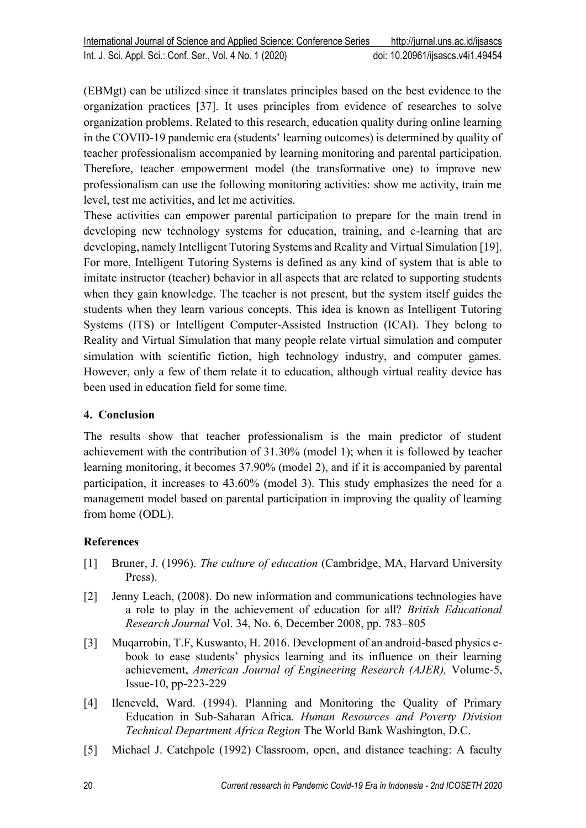(EBMgt) can be utilized since it translates principles based on the best evidence to the organization practices [37]. It uses principles from evidence of researches to solve organization problems. Related to this research, education quality during online learning in the COVID-19 pandemic era (students' learning outcomes) is determined by quality of teacher professionalism accompanied by learning monitoring and parental participation. Therefore, teacher empowerment model (the transformative one) to improve new professionalism can use the following monitoring activities: show me activity, train me level, test me activities, and let me activities.

These activities can empower parental participation to prepare for the main trend in developing new technology systems for education, training, and e-learning that are developing, namely Intelligent Tutoring Systems and Reality and Virtual Simulation [19]. For more, Intelligent Tutoring Systems is defined as any kind of system that is able to imitate instructor (teacher) behavior in all aspects that are related to supporting students when they gain knowledge. The teacher is not present, but the system itself guides the students when they learn various concepts. This idea is known as Intelligent Tutoring Systems (ITS) or Intelligent Computer-Assisted Instruction (ICAI). They belong to Reality and Virtual Simulation that many people relate virtual simulation and computer simulation with scientific fiction, high technology industry, and computer games. However, only a few of them relate it to education, although virtual reality device has been used in education field for some time.

# **4. Conclusion**

The results show that teacher professionalism is the main predictor of student achievement with the contribution of 31.30% (model 1); when it is followed by teacher learning monitoring, it becomes 37.90% (model 2), and if it is accompanied by parental participation, it increases to 43.60% (model 3). This study emphasizes the need for a management model based on parental participation in improving the quality of learning from home (ODL).

# **References**

- [1] Bruner, J. (1996). *The culture of education* (Cambridge, MA, Harvard University Press).
- [2] Jenny Leach, (2008). Do new information and communications technologies have a role to play in the achievement of education for all? *British Educational Research Journal* Vol. 34, No. 6, December 2008, pp. 783–805
- [3] Muqarrobin, T.F, Kuswanto, H. 2016. Development of an android-based physics ebook to ease students' physics learning and its influence on their learning achievement, *American Journal of Engineering Research (AJER),* Volume-5, Issue-10, pp-223-229
- [4] Ileneveld, Ward. (1994). Planning and Monitoring the Quality of Primary Education in Sub-Saharan Africa*. Human Resources and Poverty Division Technical Department Africa Region* The World Bank Washington, D.C.
- [5] Michael J. Catchpole (1992) Classroom, open, and distance teaching: A faculty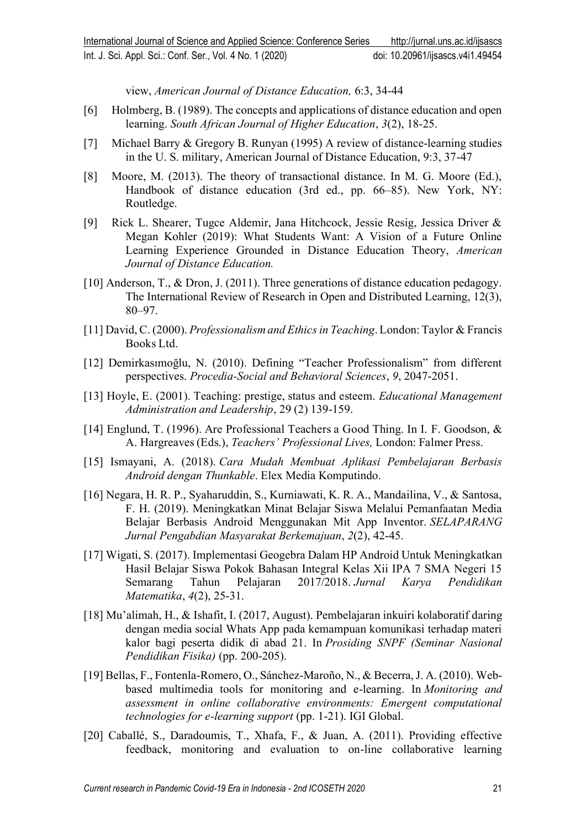view, *American Journal of Distance Education,* 6:3, 34-44

- [6] Holmberg, B. (1989). The concepts and applications of distance education and open learning. *South African Journal of Higher Education*, *3*(2), 18-25.
- [7] Michael Barry & Gregory B. Runyan (1995) A review of distance-learning studies in the U. S. military, American Journal of Distance Education, 9:3, 37-47
- [8] Moore, M. (2013). The theory of transactional distance. In M. G. Moore (Ed.), Handbook of distance education (3rd ed., pp. 66–85). New York, NY: Routledge.
- [9] Rick L. Shearer, Tugce Aldemir, Jana Hitchcock, Jessie Resig, Jessica Driver & Megan Kohler (2019): What Students Want: A Vision of a Future Online Learning Experience Grounded in Distance Education Theory, *American Journal of Distance Education.*
- [10] Anderson, T., & Dron, J. (2011). Three generations of distance education pedagogy. The International Review of Research in Open and Distributed Learning, 12(3), 80–97.
- [11] David,C. (2000). *Professionalism and Ethicsin Teaching*.London: Taylor & Francis Books Ltd.
- [12] Demirkasımoğlu, N. (2010). Defining "Teacher Professionalism" from different perspectives. *Procedia-Social and Behavioral Sciences*, *9*, 2047-2051.
- [13] Hoyle, E. (2001). Teaching: prestige, status and esteem. *Educational Management Administration and Leadership*, 29 (2) 139-159.
- [14] Englund, T. (1996). Are Professional Teachers a Good Thing. In I. F. Goodson, & A. Hargreaves (Eds.), *Teachers' Professional Lives,* London: Falmer Press.
- [15] Ismayani, A. (2018). *Cara Mudah Membuat Aplikasi Pembelajaran Berbasis Android dengan Thunkable*. Elex Media Komputindo.
- [16] Negara, H. R. P., Syaharuddin, S., Kurniawati, K. R. A., Mandailina, V., & Santosa, F. H. (2019). Meningkatkan Minat Belajar Siswa Melalui Pemanfaatan Media Belajar Berbasis Android Menggunakan Mit App Inventor. *SELAPARANG Jurnal Pengabdian Masyarakat Berkemajuan*, *2*(2), 42-45.
- [17] Wigati, S. (2017). Implementasi Geogebra Dalam HP Android Untuk Meningkatkan Hasil Belajar Siswa Pokok Bahasan Integral Kelas Xii IPA 7 SMA Negeri 15 Semarang Tahun Pelajaran 2017/2018. *Jurnal Karya Pendidikan Matematika*, *4*(2), 25-31.
- [18] Mu'alimah, H., & Ishafit, I. (2017, August). Pembelajaran inkuiri kolaboratif daring dengan media social Whats App pada kemampuan komunikasi terhadap materi kalor bagi peserta didik di abad 21. In *Prosiding SNPF (Seminar Nasional Pendidikan Fisika)* (pp. 200-205).
- [19] Bellas, F., Fontenla-Romero, O., Sánchez-Maroño, N., & Becerra, J. A. (2010). Webbased multimedia tools for monitoring and e-learning. In *Monitoring and assessment in online collaborative environments: Emergent computational technologies for e-learning support* (pp. 1-21). IGI Global.
- [20] Caballé, S., Daradoumis, T., Xhafa, F., & Juan, A. (2011). Providing effective feedback, monitoring and evaluation to on-line collaborative learning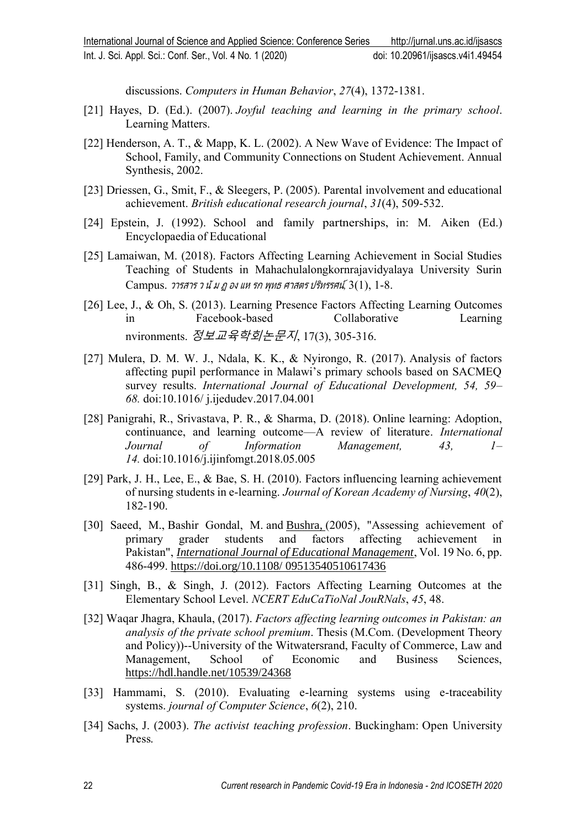discussions. *Computers in Human Behavior*, *27*(4), 1372-1381.

- [21] Hayes, D. (Ed.). (2007). *Joyful teaching and learning in the primary school*. Learning Matters.
- [22] Henderson, A. T., & Mapp, K. L. (2002). A New Wave of Evidence: The Impact of School, Family, and Community Connections on Student Achievement. Annual Synthesis, 2002.
- [23] Driessen, G., Smit, F., & Sleegers, P. (2005). Parental involvement and educational achievement. *British educational research journal*, *31*(4), 509-532.
- [24] Epstein, J. (1992). School and family partnerships, in: M. Aiken (Ed.) Encyclopaedia of Educational
- [25] Lamaiwan, M. (2018). Factors Affecting Learning Achievement in Social Studies Teaching of Students in Mahachulalongkornrajavidyalaya University Surin Campus. วารสาร <sup>ว</sup> นัม <sup>ฏ</sup> อง แห รก พุทธ ศาสตร ปริทรรศน์*,* 3(1), 1-8.
- [26] Lee, J., & Oh, S. (2013). Learning Presence Factors Affecting Learning Outcomes in Facebook-based Collaborative Learning nvironments. 정보교육학회논문지, 17(3), 305-316.
- [27] Mulera, D. M. W. J., Ndala, K. K., & Nyirongo, R. (2017). Analysis of factors affecting pupil performance in Malawi's primary schools based on SACMEQ survey results. *International Journal of Educational Development, 54, 59– 68.* doi:10.1016/ j.ijedudev.2017.04.001
- [28] Panigrahi, R., Srivastava, P. R., & Sharma, D. (2018). Online learning: Adoption, continuance, and learning outcome—A review of literature. *International Journal of Information Management, 43, 1– 14.* doi:10.1016/j.ijinfomgt.2018.05.005
- [29] Park, J. H., Lee, E., & Bae, S. H. (2010). Factors influencing learning achievement of nursing students in e-learning. *Journal of Korean Academy of Nursing*, *40*(2), 182-190.
- [30] Saeed, M., Bashir Gondal, M. and [Bushra,](https://www.emerald.com/insight/search?q=%20%20Bushra) (2005), "Assessing achievement of primary grader students and factors affecting achievement in Pakistan", *[International Journal of Educational Management](https://www.emerald.com/insight/publication/issn/0951-354X)*, Vol. 19 No. 6, pp. 486-499. [https://doi.org/10.1108/ 09513540510617436](https://doi.org/10.1108/%2009513540510617436)
- [31] Singh, B., & Singh, J. (2012). Factors Affecting Learning Outcomes at the Elementary School Level. *NCERT EduCaTioNal JouRNals*, *45*, 48.
- [32] Waqar Jhagra, Khaula, (2017). *Factors affecting learning outcomes in Pakistan: an analysis of the private school premium*. Thesis (M.Com. (Development Theory and Policy))--University of the Witwatersrand, Faculty of Commerce, Law and Management, School of Economic and Business Sciences, <https://hdl.handle.net/10539/24368>
- [33] Hammami, S. (2010). Evaluating e-learning systems using e-traceability systems. *journal of Computer Science*, *6*(2), 210.
- [34] Sachs, J. (2003). *The activist teaching profession*. Buckingham: Open University Press.